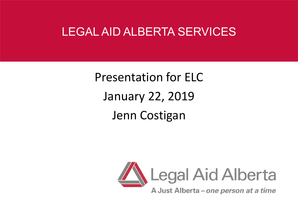#### LEGAL AID ALBERTA SERVICES

Presentation for ELC January 22, 2019 Jenn Costigan

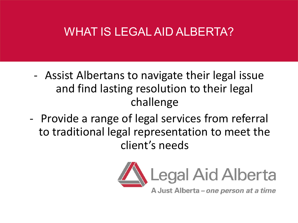### WHAT IS LEGAL AID ALBERTA?

- Assist Albertans to navigate their legal issue and find lasting resolution to their legal challenge
- Provide a range of legal services from referral to traditional legal representation to meet the client's needs

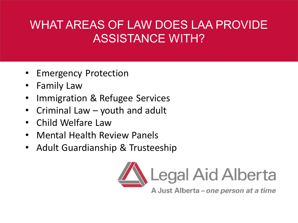# WHAT AREAS OF LAW DOES LAA PROVIDE ASSISTANCE WITH?

- Emergency Protection
- Family Law
- Immigration & Refugee Services
- Criminal Law youth and adult
- Child Welfare Law
- Mental Health Review Panels
- Adult Guardianship & Trusteeship

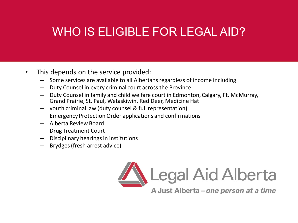# WHO IS ELIGIBLE FOR LEGAL AID?

- This depends on the service provided:
	- Some services are available to all Albertans regardless of income including
	- Duty Counsel in every criminal court across the Province
	- Duty Counsel in family and child welfare court in Edmonton, Calgary, Ft. McMurray, Grand Prairie, St. Paul, Wetaskiwin, Red Deer, Medicine Hat
	- youth criminal law (duty counsel & full representation)
	- Emergency Protection Order applications and confirmations
	- Alberta Review Board
	- Drug Treatment Court
	- Disciplinary hearings in institutions
	- Brydges(fresh arrest advice)

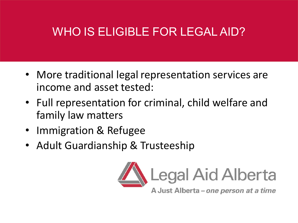# WHO IS ELIGIBLE FOR LEGAL AID?

- More traditional legal representation services are income and asset tested:
- Full representation for criminal, child welfare and family law matters
- Immigration & Refugee
- Adult Guardianship & Trusteeship